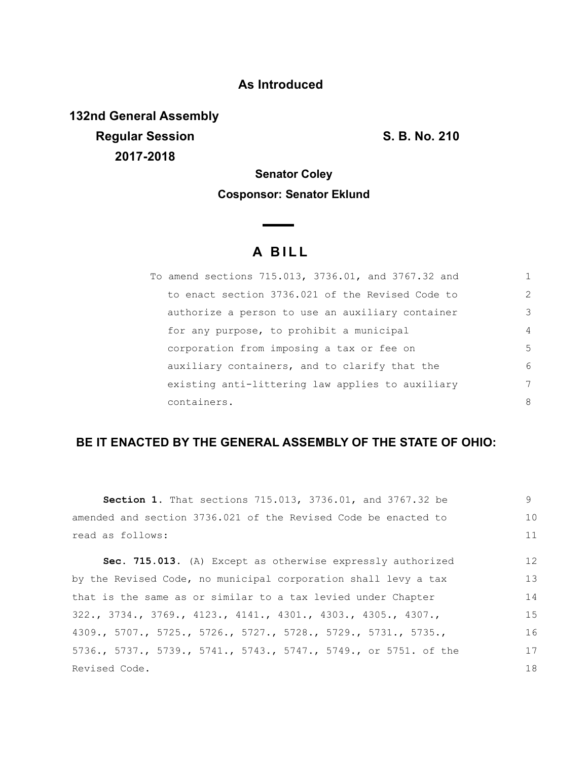## **As Introduced**

**132nd General Assembly Regular Session S. B. No. 210 2017-2018**

## **Senator Coley Cosponsor: Senator Eklund**

 $\overline{\phantom{a}}$ 

## **A B I L L**

| To amend sections 715.013, 3736.01, and 3767.32 and |               |
|-----------------------------------------------------|---------------|
| to enact section 3736.021 of the Revised Code to    | $\mathcal{L}$ |
| authorize a person to use an auxiliary container    | 3             |
| for any purpose, to prohibit a municipal            | 4             |
| corporation from imposing a tax or fee on           | .5            |
| auxiliary containers, and to clarify that the       | 6             |
| existing anti-littering law applies to auxiliary    | 7             |
| containers.                                         | 8             |

## **BE IT ENACTED BY THE GENERAL ASSEMBLY OF THE STATE OF OHIO:**

| <b>Section 1.</b> That sections 715.013, 3736.01, and 3767.32 be | 9  |
|------------------------------------------------------------------|----|
| amended and section 3736.021 of the Revised Code be enacted to   | 10 |
| read as follows:                                                 | 11 |
| Sec. 715.013. (A) Except as otherwise expressly authorized       | 12 |
| by the Revised Code, no municipal corporation shall levy a tax   | 13 |
| that is the same as or similar to a tax levied under Chapter     | 14 |
| $322., 3734., 3769., 4123., 4141., 4301., 4303., 4305., 4307.,$  | 15 |
| 4309., 5707., 5725., 5726., 5727., 5728., 5729., 5731., 5735.,   | 16 |
| 5736., 5737., 5739., 5741., 5743., 5747., 5749., or 5751. of the | 17 |
| Revised Code.                                                    | 18 |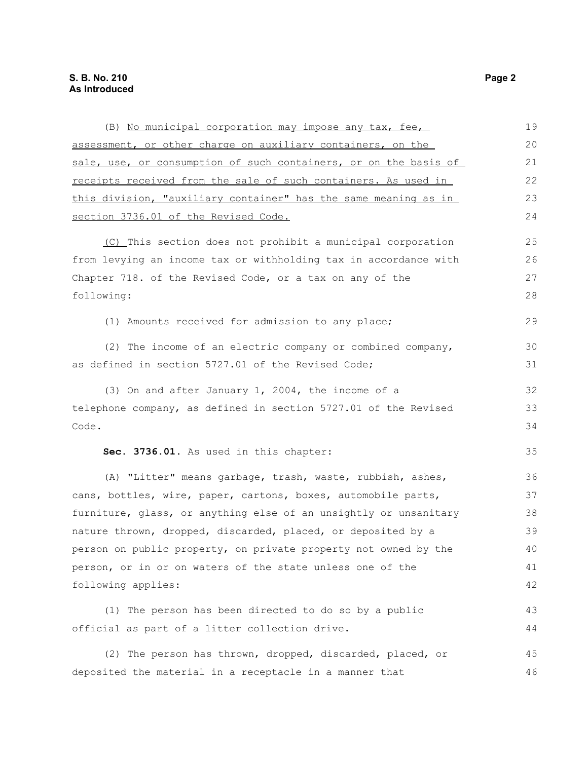| (B) No municipal corporation may impose any tax, fee,            | 19 |
|------------------------------------------------------------------|----|
| assessment, or other charge on auxiliary containers, on the      | 20 |
| sale, use, or consumption of such containers, or on the basis of | 21 |
| receipts received from the sale of such containers. As used in   | 22 |
| this division, "auxiliary container" has the same meaning as in  | 23 |
| section 3736.01 of the Revised Code.                             | 24 |
| (C) This section does not prohibit a municipal corporation       | 25 |
| from levying an income tax or withholding tax in accordance with | 26 |
| Chapter 718. of the Revised Code, or a tax on any of the         | 27 |
| following:                                                       | 28 |
| (1) Amounts received for admission to any place;                 | 29 |
| (2) The income of an electric company or combined company,       | 30 |
| as defined in section 5727.01 of the Revised Code;               | 31 |
| (3) On and after January 1, 2004, the income of a                | 32 |
| telephone company, as defined in section 5727.01 of the Revised  | 33 |
| Code.                                                            | 34 |
| Sec. 3736.01. As used in this chapter:                           | 35 |
| (A) "Litter" means garbage, trash, waste, rubbish, ashes,        | 36 |
| cans, bottles, wire, paper, cartons, boxes, automobile parts,    | 37 |
| furniture, glass, or anything else of an unsightly or unsanitary | 38 |
| nature thrown, dropped, discarded, placed, or deposited by a     | 39 |
| person on public property, on private property not owned by the  | 40 |
| person, or in or on waters of the state unless one of the        | 41 |
| following applies:                                               | 42 |
| (1) The person has been directed to do so by a public            | 43 |
| official as part of a litter collection drive.                   | 44 |
| (2) The person has thrown, dropped, discarded, placed, or        | 45 |
| deposited the material in a receptacle in a manner that          | 46 |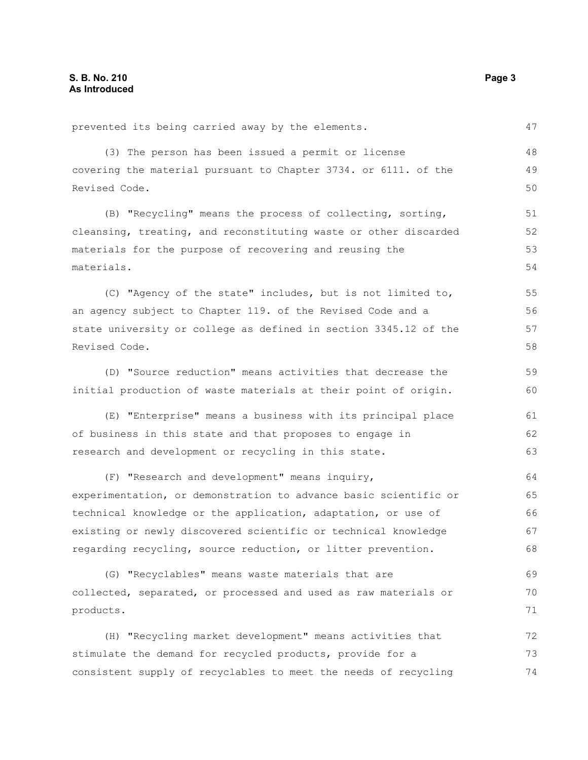prevented its being carried away by the elements.

(3) The person has been issued a permit or license covering the material pursuant to Chapter 3734. or 6111. of the Revised Code.

(B) "Recycling" means the process of collecting, sorting, cleansing, treating, and reconstituting waste or other discarded materials for the purpose of recovering and reusing the materials.

(C) "Agency of the state" includes, but is not limited to, an agency subject to Chapter 119. of the Revised Code and a state university or college as defined in section 3345.12 of the Revised Code. 55 56 57 58

(D) "Source reduction" means activities that decrease the initial production of waste materials at their point of origin. 59 60

(E) "Enterprise" means a business with its principal place of business in this state and that proposes to engage in research and development or recycling in this state. 61 62 63

(F) "Research and development" means inquiry, experimentation, or demonstration to advance basic scientific or technical knowledge or the application, adaptation, or use of existing or newly discovered scientific or technical knowledge regarding recycling, source reduction, or litter prevention. 64 65 66 67 68

(G) "Recyclables" means waste materials that are collected, separated, or processed and used as raw materials or products. 69 70 71

(H) "Recycling market development" means activities that stimulate the demand for recycled products, provide for a consistent supply of recyclables to meet the needs of recycling 72 73 74

47

48 49 50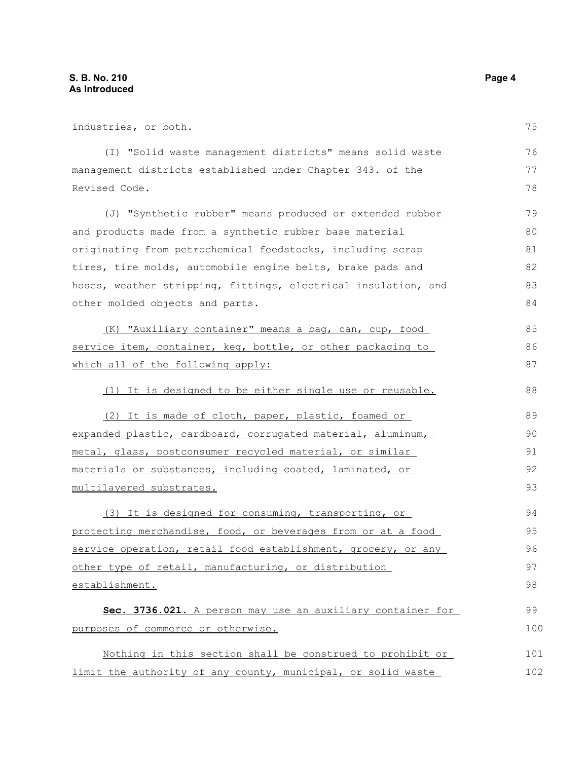industries, or both. (I) "Solid waste management districts" means solid waste management districts established under Chapter 343. of the Revised Code. (J) "Synthetic rubber" means produced or extended rubber and products made from a synthetic rubber base material originating from petrochemical feedstocks, including scrap tires, tire molds, automobile engine belts, brake pads and hoses, weather stripping, fittings, electrical insulation, and other molded objects and parts. (K) "Auxiliary container" means a bag, can, cup, food service item, container, keg, bottle, or other packaging to which all of the following apply: (1) It is designed to be either single use or reusable. (2) It is made of cloth, paper, plastic, foamed or expanded plastic, cardboard, corrugated material, aluminum, metal, glass, postconsumer recycled material, or similar materials or substances, including coated, laminated, or multilayered substrates. (3) It is designed for consuming, transporting, or protecting merchandise, food, or beverages from or at a food service operation, retail food establishment, grocery, or any other type of retail, manufacturing, or distribution establishment. **Sec. 3736.021.** A person may use an auxiliary container for purposes of commerce or otherwise. Nothing in this section shall be construed to prohibit or limit the authority of any county, municipal, or solid waste 75 76 77 78 79 80 81 82 83 84 85 86 87 88 89 90 91 92 93 94 95 96 97 98 99 100 101 102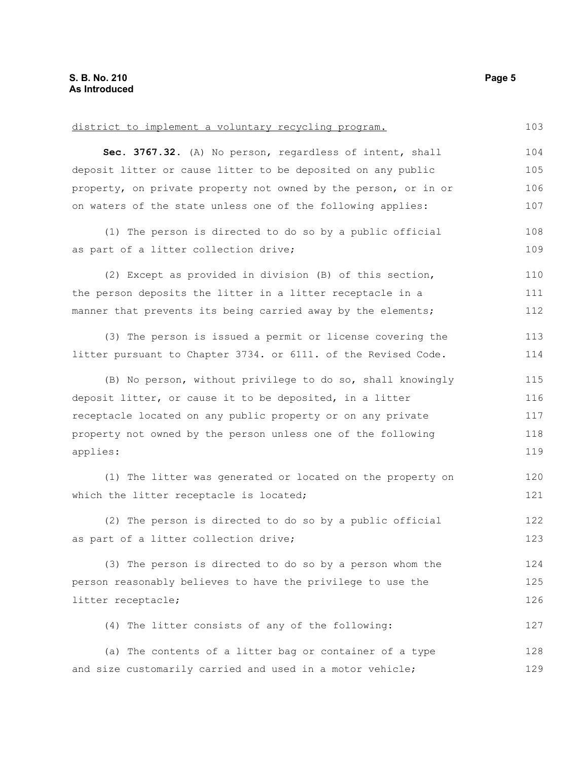| district to implement a voluntary recycling program.            | 103 |
|-----------------------------------------------------------------|-----|
| Sec. 3767.32. (A) No person, regardless of intent, shall        | 104 |
| deposit litter or cause litter to be deposited on any public    | 105 |
| property, on private property not owned by the person, or in or | 106 |
| on waters of the state unless one of the following applies:     | 107 |
| (1) The person is directed to do so by a public official        | 108 |
| as part of a litter collection drive;                           | 109 |
| (2) Except as provided in division (B) of this section,         | 110 |
| the person deposits the litter in a litter receptacle in a      | 111 |
| manner that prevents its being carried away by the elements;    | 112 |
| (3) The person is issued a permit or license covering the       | 113 |
| litter pursuant to Chapter 3734. or 6111. of the Revised Code.  | 114 |
| (B) No person, without privilege to do so, shall knowingly      | 115 |
| deposit litter, or cause it to be deposited, in a litter        | 116 |
| receptacle located on any public property or on any private     | 117 |
| property not owned by the person unless one of the following    | 118 |
| applies:                                                        | 119 |
| (1) The litter was generated or located on the property on      | 120 |
| which the litter receptacle is located;                         | 121 |
| (2) The person is directed to do so by a public official        | 122 |
| as part of a litter collection drive;                           | 123 |
| (3) The person is directed to do so by a person whom the        | 124 |
| person reasonably believes to have the privilege to use the     | 125 |
| litter receptacle;                                              | 126 |
| (4) The litter consists of any of the following:                | 127 |
| (a) The contents of a litter bag or container of a type         | 128 |
| and size customarily carried and used in a motor vehicle;       | 129 |
|                                                                 |     |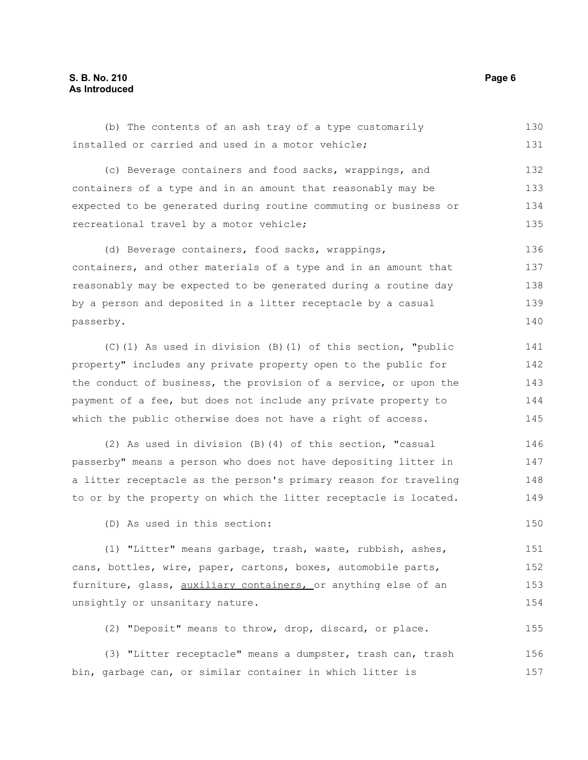| (b) The contents of an ash tray of a type customarily            | 130 |
|------------------------------------------------------------------|-----|
| installed or carried and used in a motor vehicle;                | 131 |
| (c) Beverage containers and food sacks, wrappings, and           | 132 |
| containers of a type and in an amount that reasonably may be     | 133 |
| expected to be generated during routine commuting or business or | 134 |
| recreational travel by a motor vehicle;                          | 135 |
| (d) Beverage containers, food sacks, wrappings,                  | 136 |
| containers, and other materials of a type and in an amount that  | 137 |
| reasonably may be expected to be generated during a routine day  | 138 |
| by a person and deposited in a litter receptacle by a casual     | 139 |
| passerby.                                                        | 140 |
| (C)(1) As used in division (B)(1) of this section, "public       | 141 |
| property" includes any private property open to the public for   | 142 |
| the conduct of business, the provision of a service, or upon the | 143 |
| payment of a fee, but does not include any private property to   | 144 |
| which the public otherwise does not have a right of access.      | 145 |
| (2) As used in division (B) (4) of this section, "casual         | 146 |
| passerby" means a person who does not have depositing litter in  | 147 |
| a litter receptacle as the person's primary reason for traveling | 148 |
| to or by the property on which the litter receptacle is located. | 149 |
| (D) As used in this section:                                     | 150 |
| (1) "Litter" means garbage, trash, waste, rubbish, ashes,        | 151 |
| cans, bottles, wire, paper, cartons, boxes, automobile parts,    | 152 |
| furniture, glass, auxiliary containers, or anything else of an   | 153 |
| unsightly or unsanitary nature.                                  | 154 |
| (2) "Deposit" means to throw, drop, discard, or place.           | 155 |
| (3) "Litter receptacle" means a dumpster, trash can, trash       | 156 |

bin, garbage can, or similar container in which litter is

157